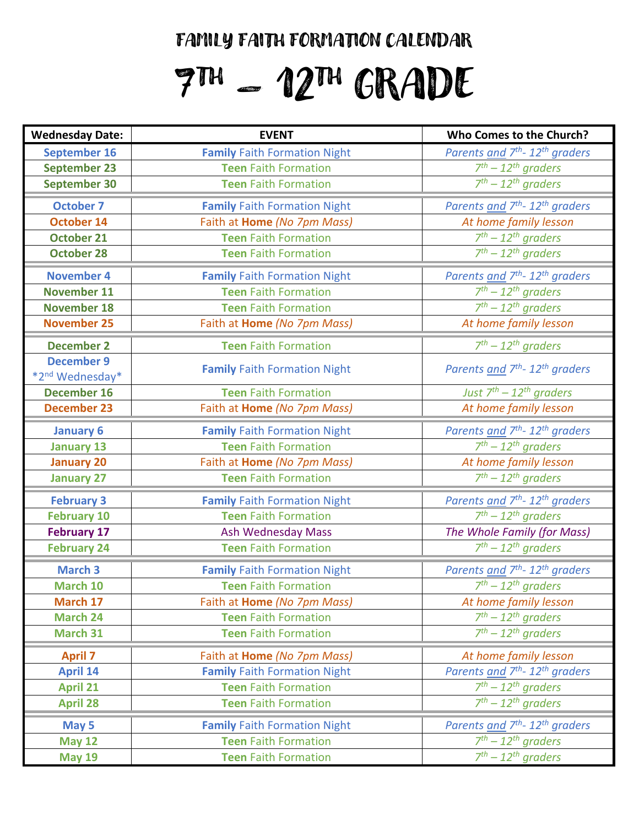## FAMILY FAITH FORMATION CALENDAR

# $7^{\rm m}$  – 12 $^{\rm m}$  GRADE

| <b>Wednesday Date:</b>                           | <b>EVENT</b>                        | Who Comes to the Church?                               |
|--------------------------------------------------|-------------------------------------|--------------------------------------------------------|
| September 16                                     | <b>Family Faith Formation Night</b> | Parents and 7 <sup>th</sup> - 12 <sup>th</sup> graders |
| <b>September 23</b>                              | <b>Teen Faith Formation</b>         | $7th - 12th$ graders                                   |
| <b>September 30</b>                              | <b>Teen Faith Formation</b>         | $7th - 12th$ graders                                   |
| <b>October 7</b>                                 | <b>Family Faith Formation Night</b> | Parents and 7 <sup>th</sup> - 12 <sup>th</sup> graders |
| <b>October 14</b>                                | Faith at Home (No 7pm Mass)         | At home family lesson                                  |
| <b>October 21</b>                                | <b>Teen Faith Formation</b>         | $7th - 12th$ graders                                   |
| <b>October 28</b>                                | <b>Teen Faith Formation</b>         | $7th - 12th$ graders                                   |
| <b>November 4</b>                                | <b>Family Faith Formation Night</b> | Parents and 7 <sup>th</sup> - 12 <sup>th</sup> graders |
| <b>November 11</b>                               | <b>Teen Faith Formation</b>         | $7th - 12th$ graders                                   |
| <b>November 18</b>                               | <b>Teen Faith Formation</b>         | $7th - 12th$ graders                                   |
| <b>November 25</b>                               | Faith at Home (No 7pm Mass)         | At home family lesson                                  |
| <b>December 2</b>                                | <b>Teen Faith Formation</b>         | $7th - 12th$ graders                                   |
| <b>December 9</b><br>*2 <sup>nd</sup> Wednesday* | <b>Family Faith Formation Night</b> | Parents and 7 <sup>th</sup> - 12 <sup>th</sup> graders |
| <b>December 16</b>                               | <b>Teen Faith Formation</b>         | Just $7^{th}$ – 12 <sup>th</sup> graders               |
| <b>December 23</b>                               | Faith at Home (No 7pm Mass)         | At home family lesson                                  |
| <b>January 6</b>                                 | <b>Family Faith Formation Night</b> | Parents and 7 <sup>th</sup> - 12 <sup>th</sup> graders |
| <b>January 13</b>                                | <b>Teen Faith Formation</b>         | $7th - 12th$ graders                                   |
| <b>January 20</b>                                | Faith at Home (No 7pm Mass)         | At home family lesson                                  |
| <b>January 27</b>                                | <b>Teen Faith Formation</b>         | $7th - 12th$ graders                                   |
| <b>February 3</b>                                | <b>Family Faith Formation Night</b> | Parents and 7 <sup>th</sup> - 12 <sup>th</sup> graders |
| <b>February 10</b>                               | <b>Teen Faith Formation</b>         | $7th - 12th$ graders                                   |
| <b>February 17</b>                               | Ash Wednesday Mass                  | The Whole Family (for Mass)                            |
| <b>February 24</b>                               | <b>Teen Faith Formation</b>         | $7th - 12th$ graders                                   |
| <b>March 3</b>                                   | <b>Family Faith Formation Night</b> | Parents and 7 <sup>th</sup> - 12 <sup>th</sup> graders |
| March 10                                         | <b>Teen Faith Formation</b>         | $7th - 12th$ graders                                   |
| March 17                                         | Faith at Home (No 7pm Mass)         | At home family lesson                                  |
| March 24                                         | <b>Teen Faith Formation</b>         | $7th - 12th$ graders                                   |
| March 31                                         | <b>Teen Faith Formation</b>         | $7th - 12th$ araders                                   |
| <b>April 7</b>                                   | Faith at Home (No 7pm Mass)         | At home family lesson                                  |
| <b>April 14</b>                                  | <b>Family Faith Formation Night</b> | Parents and 7 <sup>th</sup> - 12 <sup>th</sup> graders |
| <b>April 21</b>                                  | <b>Teen Faith Formation</b>         | $7th - 12th$ graders                                   |
| <b>April 28</b>                                  | <b>Teen Faith Formation</b>         | $7th - 12th$ graders                                   |
| May 5                                            | <b>Family Faith Formation Night</b> | Parents and 7 <sup>th</sup> - 12 <sup>th</sup> graders |
| <b>May 12</b>                                    | <b>Teen Faith Formation</b>         | $7th - 12th$ araders                                   |
| <b>May 19</b>                                    | <b>Teen Faith Formation</b>         | $7th - 12th$ graders                                   |